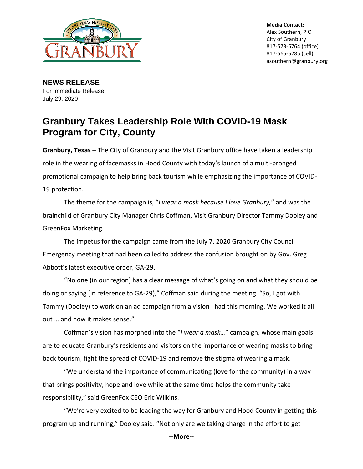

**Media Contact:** Alex Southern, PIO City of Granbury 817-573-6764 (office) 817-565-5285 (cell) asouthern@granbury.org

**NEWS RELEASE** For Immediate Release July 29, 2020

## **Granbury Takes Leadership Role With COVID-19 Mask Program for City, County**

**Granbury, Texas –** The City of Granbury and the Visit Granbury office have taken a leadership role in the wearing of facemasks in Hood County with today's launch of a multi-pronged promotional campaign to help bring back tourism while emphasizing the importance of COVID-19 protection.

The theme for the campaign is, "*I wear a mask because I love Granbury,*" and was the brainchild of Granbury City Manager Chris Coffman, Visit Granbury Director Tammy Dooley and GreenFox Marketing.

The impetus for the campaign came from the July 7, 2020 Granbury City Council Emergency meeting that had been called to address the confusion brought on by Gov. Greg Abbott's latest executive order, GA-29.

"No one (in our region) has a clear message of what's going on and what they should be doing or saying (in reference to GA-29)," Coffman said during the meeting. "So, I got with Tammy (Dooley) to work on an ad campaign from a vision I had this morning. We worked it all out … and now it makes sense."

Coffman's vision has morphed into the "*I wear a mask…*" campaign, whose main goals are to educate Granbury's residents and visitors on the importance of wearing masks to bring back tourism, fight the spread of COVID-19 and remove the stigma of wearing a mask.

"We understand the importance of communicating (love for the community) in a way that brings positivity, hope and love while at the same time helps the community take responsibility," said GreenFox CEO Eric Wilkins.

"We're very excited to be leading the way for Granbury and Hood County in getting this program up and running," Dooley said. "Not only are we taking charge in the effort to get